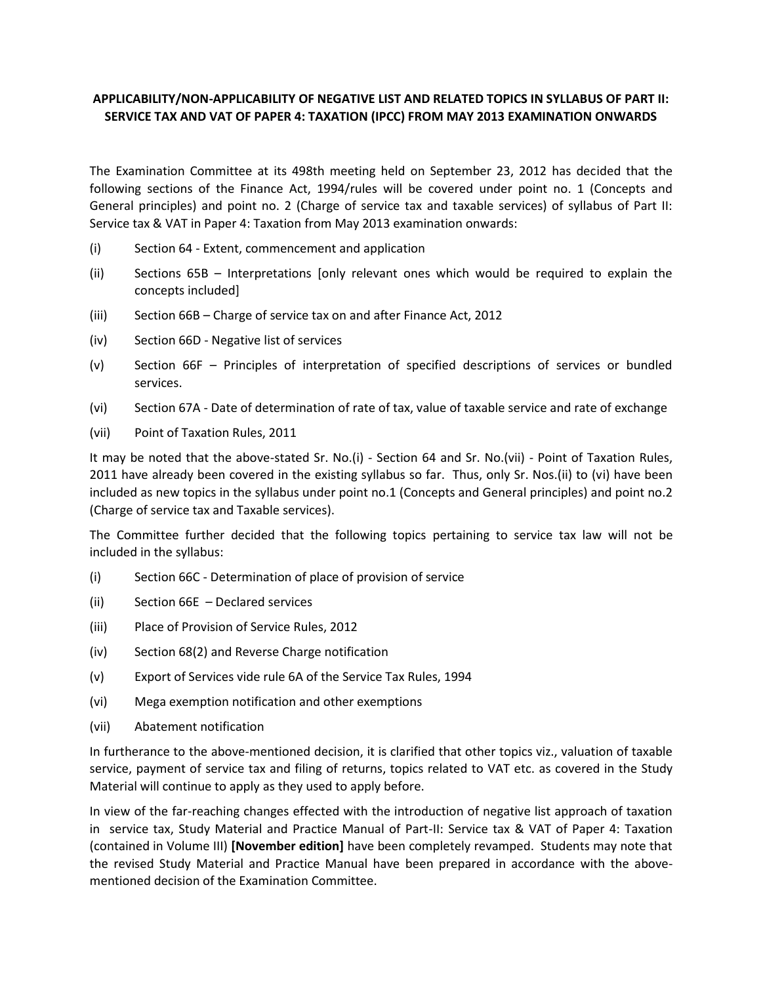## **APPLICABILITY/NON-APPLICABILITY OF NEGATIVE LIST AND RELATED TOPICS IN SYLLABUS OF PART II: SERVICE TAX AND VAT OF PAPER 4: TAXATION (IPCC) FROM MAY 2013 EXAMINATION ONWARDS**

The Examination Committee at its 498th meeting held on September 23, 2012 has decided that the following sections of the Finance Act, 1994/rules will be covered under point no. 1 (Concepts and General principles) and point no. 2 (Charge of service tax and taxable services) of syllabus of Part II: Service tax & VAT in Paper 4: Taxation from May 2013 examination onwards:

- (i) Section 64 Extent, commencement and application
- (ii) Sections 65B Interpretations [only relevant ones which would be required to explain the concepts included]
- (iii) Section 66B Charge of service tax on and after Finance Act, 2012
- (iv) Section 66D Negative list of services
- (v) Section 66F Principles of interpretation of specified descriptions of services or bundled services.
- (vi) Section 67A Date of determination of rate of tax, value of taxable service and rate of exchange
- (vii) Point of Taxation Rules, 2011

It may be noted that the above-stated Sr. No.(i) - Section 64 and Sr. No.(vii) - Point of Taxation Rules, 2011 have already been covered in the existing syllabus so far. Thus, only Sr. Nos.(ii) to (vi) have been included as new topics in the syllabus under point no.1 (Concepts and General principles) and point no.2 (Charge of service tax and Taxable services).

The Committee further decided that the following topics pertaining to service tax law will not be included in the syllabus:

- (i) Section 66C Determination of place of provision of service
- (ii) Section 66E Declared services
- (iii) Place of Provision of Service Rules, 2012
- (iv) Section 68(2) and Reverse Charge notification
- (v) Export of Services vide rule 6A of the Service Tax Rules, 1994
- (vi) Mega exemption notification and other exemptions
- (vii) Abatement notification

In furtherance to the above-mentioned decision, it is clarified that other topics viz., valuation of taxable service, payment of service tax and filing of returns, topics related to VAT etc. as covered in the Study Material will continue to apply as they used to apply before.

In view of the far-reaching changes effected with the introduction of negative list approach of taxation in service tax, Study Material and Practice Manual of Part-II: Service tax & VAT of Paper 4: Taxation (contained in Volume III) **[November edition]** have been completely revamped. Students may note that the revised Study Material and Practice Manual have been prepared in accordance with the abovementioned decision of the Examination Committee.